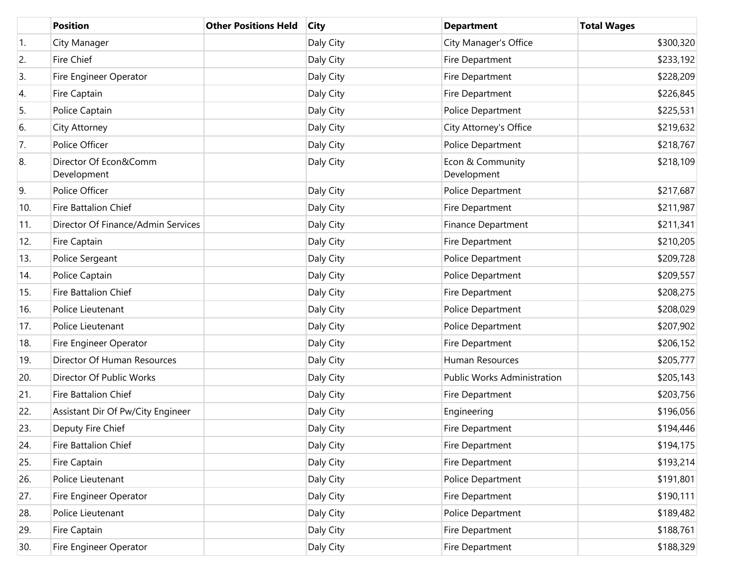|     | <b>Position</b>                      | <b>Other Positions Held</b> | <b>City</b> | <b>Department</b>               | <b>Total Wages</b> |
|-----|--------------------------------------|-----------------------------|-------------|---------------------------------|--------------------|
| 1.  | City Manager                         |                             | Daly City   | City Manager's Office           | \$300,320          |
| 2.  | Fire Chief                           |                             | Daly City   | Fire Department                 | \$233,192          |
| 3.  | Fire Engineer Operator               |                             | Daly City   | Fire Department                 | \$228,209          |
| 4.  | Fire Captain                         |                             | Daly City   | Fire Department                 | \$226,845          |
| 5.  | Police Captain                       |                             | Daly City   | Police Department               | \$225,531          |
| 6.  | City Attorney                        |                             | Daly City   | City Attorney's Office          | \$219,632          |
| 7.  | Police Officer                       |                             | Daly City   | Police Department               | \$218,767          |
| 8.  | Director Of Econ&Comm<br>Development |                             | Daly City   | Econ & Community<br>Development | \$218,109          |
| 9.  | Police Officer                       |                             | Daly City   | Police Department               | \$217,687          |
| 10. | Fire Battalion Chief                 |                             | Daly City   | Fire Department                 | \$211,987          |
| 11. | Director Of Finance/Admin Services   |                             | Daly City   | <b>Finance Department</b>       | \$211,341          |
| 12. | Fire Captain                         |                             | Daly City   | Fire Department                 | \$210,205          |
| 13. | Police Sergeant                      |                             | Daly City   | Police Department               | \$209,728          |
| 14. | Police Captain                       |                             | Daly City   | Police Department               | \$209,557          |
| 15. | Fire Battalion Chief                 |                             | Daly City   | Fire Department                 | \$208,275          |
| 16. | Police Lieutenant                    |                             | Daly City   | Police Department               | \$208,029          |
| 17. | Police Lieutenant                    |                             | Daly City   | Police Department               | \$207,902          |
| 18. | Fire Engineer Operator               |                             | Daly City   | Fire Department                 | \$206,152          |
| 19. | Director Of Human Resources          |                             | Daly City   | Human Resources                 | \$205,777          |
| 20. | Director Of Public Works             |                             | Daly City   | Public Works Administration     | \$205,143          |
| 21. | Fire Battalion Chief                 |                             | Daly City   | Fire Department                 | \$203,756          |
| 22. | Assistant Dir Of Pw/City Engineer    |                             | Daly City   | Engineering                     | \$196,056          |
| 23. | Deputy Fire Chief                    |                             | Daly City   | Fire Department                 | \$194,446          |
| 24. | Fire Battalion Chief                 |                             | Daly City   | Fire Department                 | \$194,175          |
| 25. | Fire Captain                         |                             | Daly City   | Fire Department                 | \$193,214          |
| 26. | Police Lieutenant                    |                             | Daly City   | Police Department               | \$191,801          |
| 27. | Fire Engineer Operator               |                             | Daly City   | Fire Department                 | \$190,111          |
| 28. | Police Lieutenant                    |                             | Daly City   | Police Department               | \$189,482          |
| 29. | Fire Captain                         |                             | Daly City   | Fire Department                 | \$188,761          |
| 30. | Fire Engineer Operator               |                             | Daly City   | Fire Department                 | \$188,329          |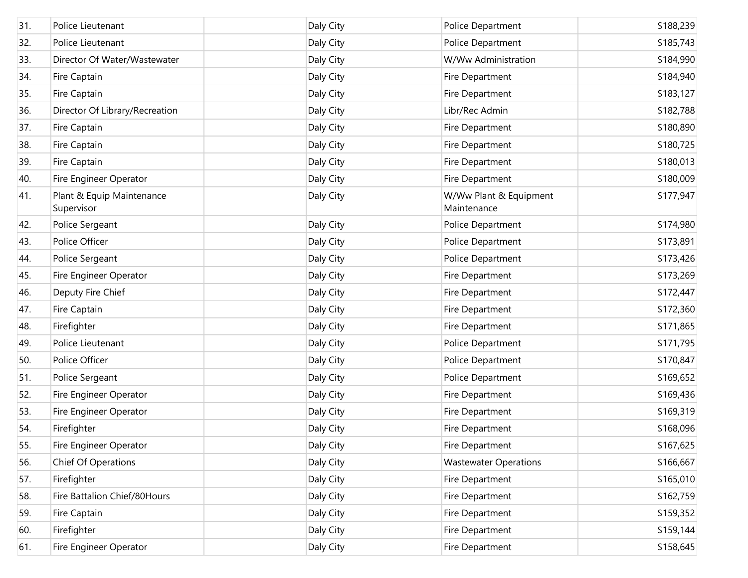| 31. | Police Lieutenant                       | Daly City | Police Department                     | \$188,239 |
|-----|-----------------------------------------|-----------|---------------------------------------|-----------|
| 32. | Police Lieutenant                       | Daly City | Police Department                     | \$185,743 |
| 33. | Director Of Water/Wastewater            | Daly City | W/Ww Administration                   | \$184,990 |
| 34. | Fire Captain                            | Daly City | Fire Department                       | \$184,940 |
| 35. | Fire Captain                            | Daly City | Fire Department                       | \$183,127 |
| 36. | Director Of Library/Recreation          | Daly City | Libr/Rec Admin                        | \$182,788 |
| 37. | Fire Captain                            | Daly City | Fire Department                       | \$180,890 |
| 38. | Fire Captain                            | Daly City | Fire Department                       | \$180,725 |
| 39. | Fire Captain                            | Daly City | Fire Department                       | \$180,013 |
| 40. | Fire Engineer Operator                  | Daly City | Fire Department                       | \$180,009 |
| 41. | Plant & Equip Maintenance<br>Supervisor | Daly City | W/Ww Plant & Equipment<br>Maintenance | \$177,947 |
| 42. | Police Sergeant                         | Daly City | Police Department                     | \$174,980 |
| 43. | Police Officer                          | Daly City | Police Department                     | \$173,891 |
| 44. | Police Sergeant                         | Daly City | Police Department                     | \$173,426 |
| 45. | Fire Engineer Operator                  | Daly City | Fire Department                       | \$173,269 |
| 46. | Deputy Fire Chief                       | Daly City | Fire Department                       | \$172,447 |
| 47. | Fire Captain                            | Daly City | Fire Department                       | \$172,360 |
| 48. | Firefighter                             | Daly City | Fire Department                       | \$171,865 |
| 49. | Police Lieutenant                       | Daly City | Police Department                     | \$171,795 |
| 50. | Police Officer                          | Daly City | Police Department                     | \$170,847 |
| 51. | Police Sergeant                         | Daly City | Police Department                     | \$169,652 |
| 52. | Fire Engineer Operator                  | Daly City | Fire Department                       | \$169,436 |
| 53. | Fire Engineer Operator                  | Daly City | Fire Department                       | \$169,319 |
| 54. | Firefighter                             | Daly City | Fire Department                       | \$168,096 |
| 55. | Fire Engineer Operator                  | Daly City | Fire Department                       | \$167,625 |
| 56. | <b>Chief Of Operations</b>              | Daly City | <b>Wastewater Operations</b>          | \$166,667 |
| 57. | Firefighter                             | Daly City | Fire Department                       | \$165,010 |
| 58. | Fire Battalion Chief/80Hours            | Daly City | Fire Department                       | \$162,759 |
| 59. | Fire Captain                            | Daly City | Fire Department                       | \$159,352 |
| 60. | Firefighter                             | Daly City | Fire Department                       | \$159,144 |
| 61. | Fire Engineer Operator                  | Daly City | Fire Department                       | \$158,645 |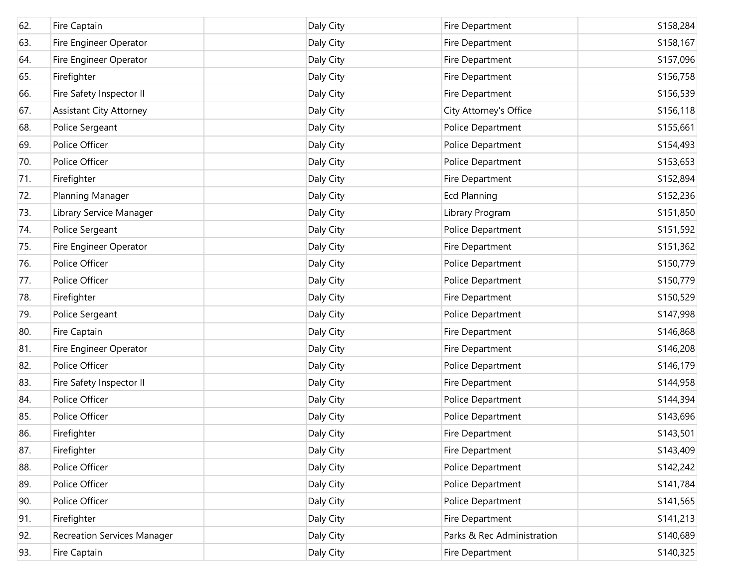| 62. | Fire Captain                       | Daly City | Fire Department            | \$158,284 |
|-----|------------------------------------|-----------|----------------------------|-----------|
| 63. | Fire Engineer Operator             | Daly City | Fire Department            | \$158,167 |
| 64. | Fire Engineer Operator             | Daly City | Fire Department            | \$157,096 |
| 65. | Firefighter                        | Daly City | Fire Department            | \$156,758 |
| 66. | Fire Safety Inspector II           | Daly City | Fire Department            | \$156,539 |
| 67. | <b>Assistant City Attorney</b>     | Daly City | City Attorney's Office     | \$156,118 |
| 68. | Police Sergeant                    | Daly City | Police Department          | \$155,661 |
| 69. | Police Officer                     | Daly City | Police Department          | \$154,493 |
| 70. | Police Officer                     | Daly City | Police Department          | \$153,653 |
| 71. | Firefighter                        | Daly City | Fire Department            | \$152,894 |
| 72. | Planning Manager                   | Daly City | <b>Ecd Planning</b>        | \$152,236 |
| 73. | Library Service Manager            | Daly City | Library Program            | \$151,850 |
| 74. | Police Sergeant                    | Daly City | Police Department          | \$151,592 |
| 75. | Fire Engineer Operator             | Daly City | Fire Department            | \$151,362 |
| 76. | Police Officer                     | Daly City | Police Department          | \$150,779 |
| 77. | Police Officer                     | Daly City | Police Department          | \$150,779 |
| 78. | Firefighter                        | Daly City | Fire Department            | \$150,529 |
| 79. | Police Sergeant                    | Daly City | Police Department          | \$147,998 |
| 80. | Fire Captain                       | Daly City | Fire Department            | \$146,868 |
| 81. | Fire Engineer Operator             | Daly City | Fire Department            | \$146,208 |
| 82. | Police Officer                     | Daly City | Police Department          | \$146,179 |
| 83. | Fire Safety Inspector II           | Daly City | Fire Department            | \$144,958 |
| 84. | Police Officer                     | Daly City | Police Department          | \$144,394 |
| 85. | Police Officer                     | Daly City | Police Department          | \$143,696 |
| 86. | Firefighter                        | Daly City | Fire Department            | \$143,501 |
| 87. | Firefighter                        | Daly City | Fire Department            | \$143,409 |
| 88. | Police Officer                     | Daly City | Police Department          | \$142,242 |
| 89. | Police Officer                     | Daly City | Police Department          | \$141,784 |
| 90. | Police Officer                     | Daly City | Police Department          | \$141,565 |
| 91. | Firefighter                        | Daly City | Fire Department            | \$141,213 |
| 92. | <b>Recreation Services Manager</b> | Daly City | Parks & Rec Administration | \$140,689 |
| 93. | Fire Captain                       | Daly City | Fire Department            | \$140,325 |